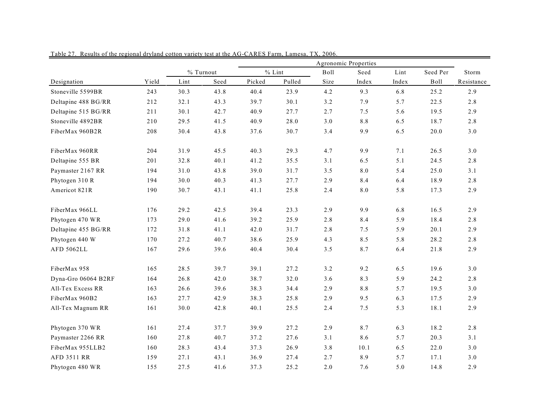|                     |       |      | % Turnout |        | $%$ Lint | Boll | Seed  | Lint  | Seed Per    | Storm      |
|---------------------|-------|------|-----------|--------|----------|------|-------|-------|-------------|------------|
| Designation         | Yield | Lint | Seed      | Picked | Pulled   | Size | Index | Index | <b>Boll</b> | Resistance |
| Stoneville 5599BR   | 243   | 30.3 | 43.8      | 40.4   | 23.9     | 4.2  | 9.3   | 6.8   | 25.2        | 2.9        |
| Deltapine 488 BG/RR | 212   | 32.1 | 43.3      | 39.7   | 30.1     | 3.2  | 7.9   | 5.7   | 22.5        | 2.8        |
| Deltapine 515 BG/RR | 211   | 30.1 | 42.7      | 40.9   | 27.7     | 2.7  | 7.5   | 5.6   | 19.5        | 2.9        |
| Stoneville 4892BR   | 210   | 29.5 | 41.5      | 40.9   | 28.0     | 3.0  | 8.8   | 6.5   | 18.7        | 2.8        |
| FiberMax 960B2R     | 208   | 30.4 | 43.8      | 37.6   | 30.7     | 3.4  | 9.9   | 6.5   | 20.0        | $3.0$      |
| FiberMax 960RR      | 204   | 31.9 | 45.5      | 40.3   | 29.3     | 4.7  | 9.9   | 7.1   | 26.5        | 3.0        |
| Deltapine 555 BR    | 201   | 32.8 | 40.1      | 41.2   | 35.5     | 3.1  | 6.5   | 5.1   | 24.5        | 2.8        |
| Paymaster 2167 RR   | 194   | 31.0 | 43.8      | 39.0   | 31.7     | 3.5  | 8.0   | 5.4   | 25.0        | 3.1        |
| Phytogen 310 R      | 194   | 30.0 | 40.3      | 41.3   | 27.7     | 2.9  | 8.4   | 6.4   | 18.9        | 2.8        |
| Americot 821R       | 190   | 30.7 | 43.1      | 41.1   | 25.8     | 2.4  | 8.0   | 5.8   | 17.3        | 2.9        |
| FiberMax 966LL      | 176   | 29.2 | 42.5      | 39.4   | 23.3     | 2.9  | 9.9   | 6.8   | 16.5        | 2.9        |
| Phytogen 470 WR     | 173   | 29.0 | 41.6      | 39.2   | 25.9     | 2.8  | 8.4   | 5.9   | 18.4        | 2.8        |
| Deltapine 455 BG/RR | 172   | 31.8 | 41.1      | 42.0   | 31.7     | 2.8  | 7.5   | 5.9   | 20.1        | 2.9        |
| Phytogen 440 W      | 170   | 27.2 | 40.7      | 38.6   | 25.9     | 4.3  | 8.5   | 5.8   | 28.2        | 2.8        |
| <b>AFD 5062LL</b>   | 167   | 29.6 | 39.6      | 40.4   | 30.4     | 3.5  | 8.7   | 6.4   | 21.8        | 2.9        |
| FiberMax 958        | 165   | 28.5 | 39.7      | 39.1   | 27.2     | 3.2  | 9.2   | 6.5   | 19.6        | 3.0        |
| Dyna-Gro 06064 B2RF | 164   | 26.8 | 42.0      | 38.7   | 32.0     | 3.6  | 8.3   | 5.9   | 24.2        | 2.8        |
| All-Tex Excess RR   | 163   | 26.6 | 39.6      | 38.3   | 34.4     | 2.9  | 8.8   | 5.7   | 19.5        | 3.0        |
| FiberMax 960B2      | 163   | 27.7 | 42.9      | 38.3   | 25.8     | 2.9  | 9.5   | 6.3   | 17.5        | 2.9        |
| All-Tex Magnum RR   | 161   | 30.0 | 42.8      | 40.1   | 25.5     | 2.4  | 7.5   | 5.3   | 18.1        | 2.9        |
| Phytogen 370 WR     | 161   | 27.4 | 37.7      | 39.9   | 27.2     | 2.9  | 8.7   | 6.3   | 18.2        | 2.8        |
| Paymaster 2266 RR   | 160   | 27.8 | 40.7      | 37.2   | 27.6     | 3.1  | 8.6   | 5.7   | 20.3        | 3.1        |
| FiberMax 955LLB2    | 160   | 28.3 | 43.4      | 37.3   | 26.9     | 3.8  | 10.1  | 6.5   | 22.0        | 3.0        |
| <b>AFD 3511 RR</b>  | 159   | 27.1 | 43.1      | 36.9   | 27.4     | 2.7  | 8.9   | 5.7   | 17.1        | 3.0        |
| Phytogen 480 WR     | 155   | 27.5 | 41.6      | 37.3   | 25.2     | 2.0  | 7.6   | 5.0   | 14.8        | 2.9        |

Table 27. Results of the regional dryland cotton variety test at the AG-CARES Farm, Lamesa, TX, 2006.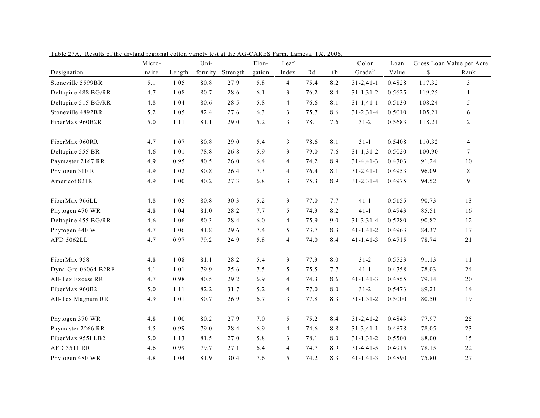|                     | Micro- |        | Uni-    |          | Elon-  | Leaf           |      |      | Color               | Loan   |        | Gross Loan Value per Acre |
|---------------------|--------|--------|---------|----------|--------|----------------|------|------|---------------------|--------|--------|---------------------------|
| Designation         | naire  | Length | formity | Strength | gation | Index          | Rd   | $+b$ | Grade <sup>1/</sup> | Value  | \$     | Rank                      |
| Stoneville 5599BR   | 5.1    | 1.05   | 80.8    | 27.9     | 5.8    | $\overline{4}$ | 75.4 | 8.2  | $31 - 2,41 - 1$     | 0.4828 | 117.32 | 3                         |
| Deltapine 488 BG/RR | 4.7    | 1.08   | 80.7    | 28.6     | 6.1    | 3              | 76.2 | 8.4  | $31 - 1, 31 - 2$    | 0.5625 | 119.25 | $\mathbf{1}$              |
| Deltapine 515 BG/RR | 4.8    | 1.04   | 80.6    | 28.5     | 5.8    | $\overline{4}$ | 76.6 | 8.1  | $31 - 1,41 - 1$     | 0.5130 | 108.24 | 5                         |
| Stoneville 4892BR   | 5.2    | 1.05   | 82.4    | 27.6     | 6.3    | 3              | 75.7 | 8.6  | $31 - 2, 31 - 4$    | 0.5010 | 105.21 | 6                         |
| FiberMax 960B2R     | 5.0    | 1.11   | 81.1    | 29.0     | 5.2    | $\mathfrak{Z}$ | 78.1 | 7.6  | $31 - 2$            | 0.5683 | 118.21 | $\overline{c}$            |
| FiberMax 960RR      | 4.7    | 1.07   | 80.8    | 29.0     | 5.4    | $\mathfrak{Z}$ | 78.6 | 8.1  | $31-1$              | 0.5408 | 110.32 | $\overline{4}$            |
| Deltapine 555 BR    | 4.6    | 1.01   | 78.8    | 26.8     | 5.9    | 3              | 79.0 | 7.6  | $31 - 1, 31 - 2$    | 0.5020 | 100.90 | $7^{\circ}$               |
| Paymaster 2167 RR   | 4.9    | 0.95   | 80.5    | 26.0     | 6.4    | $\overline{4}$ | 74.2 | 8.9  | $31 - 4, 41 - 3$    | 0.4703 | 91.24  | 10                        |
| Phytogen 310 R      | 4.9    | 1.02   | 80.8    | 26.4     | 7.3    | $\overline{4}$ | 76.4 | 8.1  | $31 - 2,41 - 1$     | 0.4953 | 96.09  | $8\,$                     |
| Americot 821R       | 4.9    | 1.00   | 80.2    | 27.3     | 6.8    | 3              | 75.3 | 8.9  | $31 - 2, 31 - 4$    | 0.4975 | 94.52  | 9                         |
| FiberMax 966LL      | 4.8    | 1.05   | 80.8    | 30.3     | 5.2    | $\mathfrak{Z}$ | 77.0 | 7.7  | $41-1$              | 0.5155 | 90.73  | 13                        |
| Phytogen 470 WR     | 4.8    | 1.04   | 81.0    | 28.2     | 7.7    | 5              | 74.3 | 8.2  | $41 - 1$            | 0.4943 | 85.51  | 16                        |
| Deltapine 455 BG/RR | 4.6    | 1.06   | 80.3    | 28.4     | 6.0    | $\overline{4}$ | 75.9 | 9.0  | $31 - 3, 31 - 4$    | 0.5280 | 90.82  | 12                        |
| Phytogen 440 W      | 4.7    | 1.06   | 81.8    | 29.6     | 7.4    | 5              | 73.7 | 8.3  | $41 - 1, 41 - 2$    | 0.4963 | 84.37  | 17                        |
| <b>AFD 5062LL</b>   | 4.7    | 0.97   | 79.2    | 24.9     | 5.8    | $\overline{4}$ | 74.0 | 8.4  | $41 - 1, 41 - 3$    | 0.4715 | 78.74  | 21                        |
| FiberMax 958        | 4.8    | 1.08   | 81.1    | 28.2     | 5.4    | $\mathfrak{Z}$ | 77.3 | 8.0  | $31 - 2$            | 0.5523 | 91.13  | 11                        |
| Dyna-Gro 06064 B2RF | 4.1    | 1.01   | 79.9    | 25.6     | 7.5    | 5              | 75.5 | 7.7  | $41 - 1$            | 0.4758 | 78.03  | 24                        |
| All-Tex Excess RR   | 4.7    | 0.98   | 80.5    | 29.2     | 6.9    | $\overline{4}$ | 74.3 | 8.6  | $41 - 1, 41 - 3$    | 0.4855 | 79.14  | 20                        |
| FiberMax 960B2      | 5.0    | 1.11   | 82.2    | 31.7     | 5.2    | $\overline{4}$ | 77.0 | 8.0  | $31 - 2$            | 0.5473 | 89.21  | 14                        |
| All-Tex Magnum RR   | 4.9    | 1.01   | 80.7    | 26.9     | 6.7    | 3              | 77.8 | 8.3  | $31 - 1, 31 - 2$    | 0.5000 | 80.50  | 19                        |
| Phytogen 370 WR     | 4.8    | 1.00   | 80.2    | 27.9     | 7.0    | 5              | 75.2 | 8.4  | $31 - 2,41 - 2$     | 0.4843 | 77.97  | 25                        |
| Paymaster 2266 RR   | 4.5    | 0.99   | 79.0    | 28.4     | 6.9    | $\overline{4}$ | 74.6 | 8.8  | $31 - 3,41 - 1$     | 0.4878 | 78.05  | 23                        |
| FiberMax 955LLB2    | 5.0    | 1.13   | 81.5    | 27.0     | 5.8    | 3              | 78.1 | 8.0  | $31 - 1, 31 - 2$    | 0.5500 | 88.00  | 15                        |
| AFD 3511 RR         | 4.6    | 0.99   | 79.7    | 27.1     | 6.4    | $\overline{4}$ | 74.7 | 8.9  | $31 - 4, 41 - 5$    | 0.4915 | 78.15  | 22                        |
| Phytogen 480 WR     | 4.8    | 1.04   | 81.9    | 30.4     | 7.6    | 5              | 74.2 | 8.3  | $41 - 1, 41 - 3$    | 0.4890 | 75.80  | $27\,$                    |

Table 27A. Results of the dryland regional cotton variety test at the AG-CARES Farm, Lamesa, TX, 2006.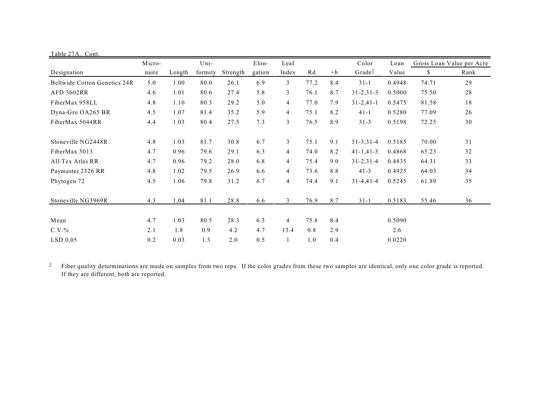| Table 27A. Cont.                    |        |        |         |          |        |                |      |      |                     |        |       |                           |
|-------------------------------------|--------|--------|---------|----------|--------|----------------|------|------|---------------------|--------|-------|---------------------------|
|                                     | Micro- |        | Uni-    |          | Elon-  | Leaf           |      |      | Color               | Loan   |       | Gross Loan Value per Acre |
| Designation                         | naire  | Length | formity | Strength | gation | Index          | Rd   | $+b$ | Grade $\frac{1}{2}$ | Value  | \$    | Rank                      |
| <b>Beltwide Cotton Genetics 24R</b> | 5.0    | 1.00   | 80.0    | 26.1     | 6.9    | 3              | 77.2 | 8.4  | $31 - 1$            | 0.4948 | 74.71 | 29                        |
| <b>AFD 3602RR</b>                   | 4.6    | 1.01   | 80.6    | 27.4     | 5.8    | 3              | 76.1 | 8.7  | $31 - 2, 31 - 3$    | 0.5000 | 75.50 | 28                        |
| FiberMax 958LL                      | 4.8    | 1.10   | 80.3    | 29.2     | 5.0    | 4              | 77.0 | 7.9  | $31 - 2,41 - 1$     | 0.5475 | 81.58 | 18                        |
| Dyna-Gro OA265 BR                   | 4.5    | 1.07   | 81.4    | 35.2     | 5.9    | 4              | 75.1 | 8.2  | $41 - 1$            | 0.5280 | 77.09 | 26                        |
| FiberMax 5044RR                     | 4.4    | 1.03   | 80.4    | 27.5     | 7.3    | 3              | 76.5 | 8.9  | $31 - 3$            | 0.5198 | 72.25 | 30                        |
| Stoneville NG2448R                  | 4.8    | 1.03   | 81.7    | 30.8     | 6.7    | 3              | 75.1 | 9.1  | $31 - 3, 31 - 4$    | 0.5185 | 70.00 | 31                        |
| FiberMax 5013                       | 4.7    | 0.96   | 79.6    | 29.1     | 6.3    | $\overline{4}$ | 74.0 | 8.2  | $41 - 1, 41 - 3$    | 0.4868 | 65.23 | 32                        |
| All-Tex Atlas RR                    | 4.7    | 0.96   | 79.2    | 28.0     | 6.8    | 4              | 75.4 | 9.0  | $31 - 2, 31 - 4$    | 0.4835 | 64.31 | 33                        |
| Paymaster 2326 RR                   | 4.8    | 1.02   | 79.5    | 26.9     | 6.6    | $\overline{4}$ | 73.6 | 8.8  | $41 - 3$            | 0.4925 | 64.03 | 34                        |
| Phytogen 72                         | 4.5    | 1.06   | 79.8    | 31.2     | 6.7    | 4              | 74.4 | 9.1  | $31 - 4, 41 - 4$    | 0.5245 | 61.89 | 35                        |
| Stoneville NG3969R                  | 4.3    | 1.04   | 81.1    | 28.8     | 6.6    | 3              | 76.9 | 8.7  | $31 - 1$            | 0.5183 | 55.46 | 36                        |
| Mean                                | 4.7    | 1.03   | 80.5    | 28.3     | 6.3    | 4              | 75.8 | 8.4  |                     | 0.5090 |       |                           |
| $C.V.$ %                            | 2.1    | 1.8    | 0.9     | 4.2      | 4.7    | 13.4           | 0.8  | 2.9  |                     | 2.6    |       |                           |
| $LSD$ 0.05                          | 0.2    | 0.03   | 1.3     | 2.0      | 0.5    | $\mathbf{1}$   | 1.0  | 0.4  |                     | 0.0220 |       |                           |

 $\frac{1}{2}$  Fiber quality determinations are made on samples from two reps. If the color grades from these two samples are identical, only one color grade is reported. If they are different, both are reported.